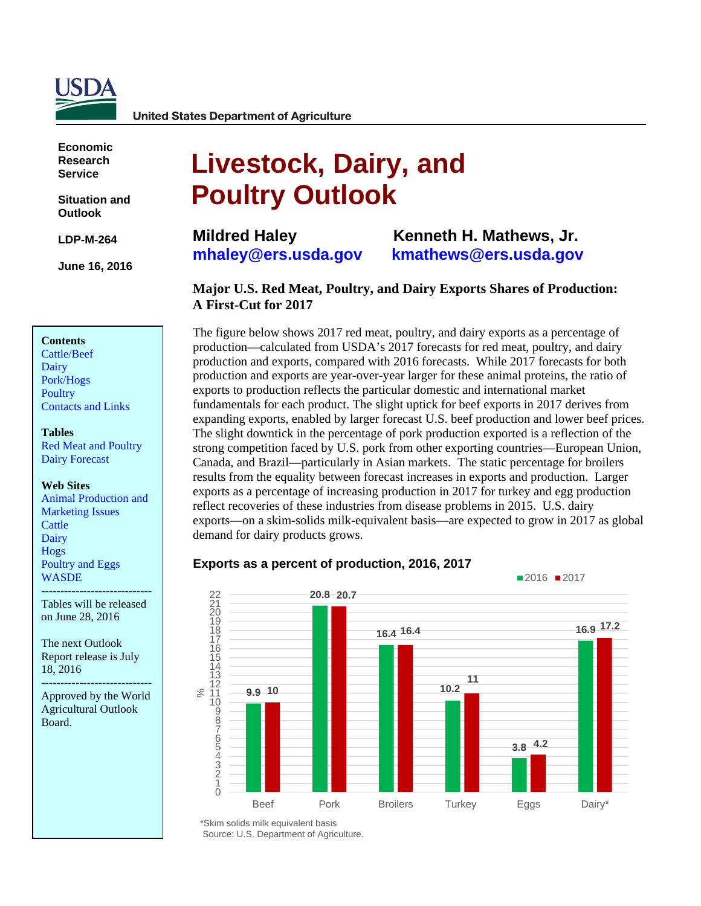

**United States Department of Agriculture** 

**Economic Research Service**

**Situation and Outlook** 

**LDP-M-264** 

**June 16, 2016**

### **Contents**

[Cattle/Beef](#page-2-0) [Dairy](#page-4-0) [Pork/Hogs](#page-8-0) **[Poultry](#page-11-0)** [Contacts and Links](#page-17-0) 

#### **Tables**

[Red Meat and Poultry](#page-18-0) [Dairy Forecast](#page-19-0)

#### **Web Sites**

[Animal Production and](http://www.ers.usda.gov/topics/animal-products/animal-production-marketing-issues.aspx) [Marketing Issues](http://www.ers.usda.gov/topics/animal-products/animal-production-marketing-issues.aspx) **[Cattle](http://www.ers.usda.gov/topics/animal-products/cattle-beef.aspx)** [Dairy](http://www.ers.usda.gov/topics/animal-products/dairy.aspx) [Hogs](http://www.ers.usda.gov/topics/animal-products/hogs-pork.aspx) [Poultry and Eggs](http://www.ers.usda.gov/topics/animal-products/poultry-eggs.aspx) **[WASDE](http://usda.mannlib.cornell.edu/MannUsda/viewDocumentInfo.do?documentID=1194)** 

----------------------------- Tables will be released on June 28, 2016

The next Outlook Report release is July 18, 2016

----------------------------- Approved by the World Agricultural Outlook Board.

# **Livestock, Dairy, and Poultry Outlook**

**Mildred Haley [mhaley@ers.usda.gov](mailto:mhaley@ers.usda.gov)**

**Kenneth H. Mathews, Jr. [kmathews@ers.usda.gov](mailto:kmathews@ers.usda.gov)**

### **Major U.S. Red Meat, Poultry, and Dairy Exports Shares of Production: A First-Cut for 2017**

The figure below shows 2017 red meat, poultry, and dairy exports as a percentage of production—calculated from USDA's 2017 forecasts for red meat, poultry, and dairy production and exports, compared with 2016 forecasts. While 2017 forecasts for both production and exports are year-over-year larger for these animal proteins, the ratio of exports to production reflects the particular domestic and international market fundamentals for each product. The slight uptick for beef exports in 2017 derives from expanding exports, enabled by larger forecast U.S. beef production and lower beef prices. The slight downtick in the percentage of pork production exported is a reflection of the strong competition faced by U.S. pork from other exporting countries—European Union, Canada, and Brazil—particularly in Asian markets. The static percentage for broilers results from the equality between forecast increases in exports and production. Larger exports as a percentage of increasing production in 2017 for turkey and egg production reflect recoveries of these industries from disease problems in 2015. U.S. dairy exports—on a skim-solids milk-equivalent basis—are expected to grow in 2017 as global demand for dairy products grows.

#### **9.9 10 20.8 20.7 16.4 16.4 10.2 3.8 4.2 16.9 17.2 11** 109876543210  $12$ <br> $11$ 13 14 15 16 17 18 19 22<br>21<br>20 Beef Pork Broilers Turkey Eggs Dairy\* %■2016 ■2017

### **Exports as a percent of production, 2016, 2017**

\*Skim solids milk equivalent basis Source: U.S. Department of Agriculture.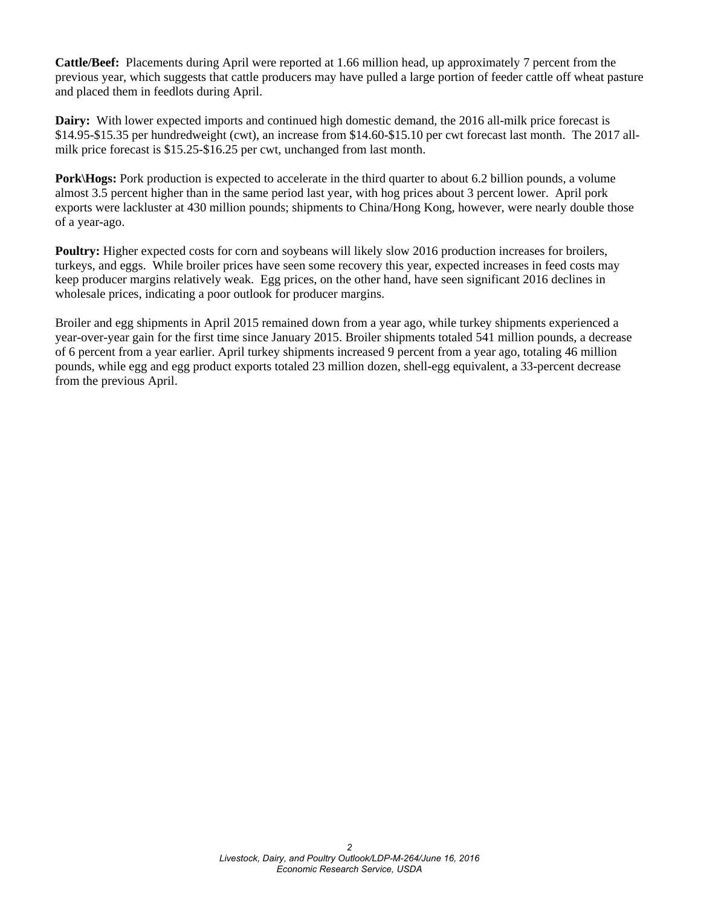**Cattle/Beef:** Placements during April were reported at 1.66 million head, up approximately 7 percent from the previous year, which suggests that cattle producers may have pulled a large portion of feeder cattle off wheat pasture and placed them in feedlots during April.

**Dairy:** With lower expected imports and continued high domestic demand, the 2016 all-milk price forecast is \$14.95-\$15.35 per hundredweight (cwt), an increase from \$14.60-\$15.10 per cwt forecast last month. The 2017 allmilk price forecast is \$15.25-\$16.25 per cwt, unchanged from last month.

**Pork\Hogs:** Pork production is expected to accelerate in the third quarter to about 6.2 billion pounds, a volume almost 3.5 percent higher than in the same period last year, with hog prices about 3 percent lower. April pork exports were lackluster at 430 million pounds; shipments to China/Hong Kong, however, were nearly double those of a year-ago.

**Poultry:** Higher expected costs for corn and soybeans will likely slow 2016 production increases for broilers, turkeys, and eggs. While broiler prices have seen some recovery this year, expected increases in feed costs may keep producer margins relatively weak. Egg prices, on the other hand, have seen significant 2016 declines in wholesale prices, indicating a poor outlook for producer margins.

Broiler and egg shipments in April 2015 remained down from a year ago, while turkey shipments experienced a year-over-year gain for the first time since January 2015. Broiler shipments totaled 541 million pounds, a decrease of 6 percent from a year earlier. April turkey shipments increased 9 percent from a year ago, totaling 46 million pounds, while egg and egg product exports totaled 23 million dozen, shell-egg equivalent, a 33-percent decrease from the previous April.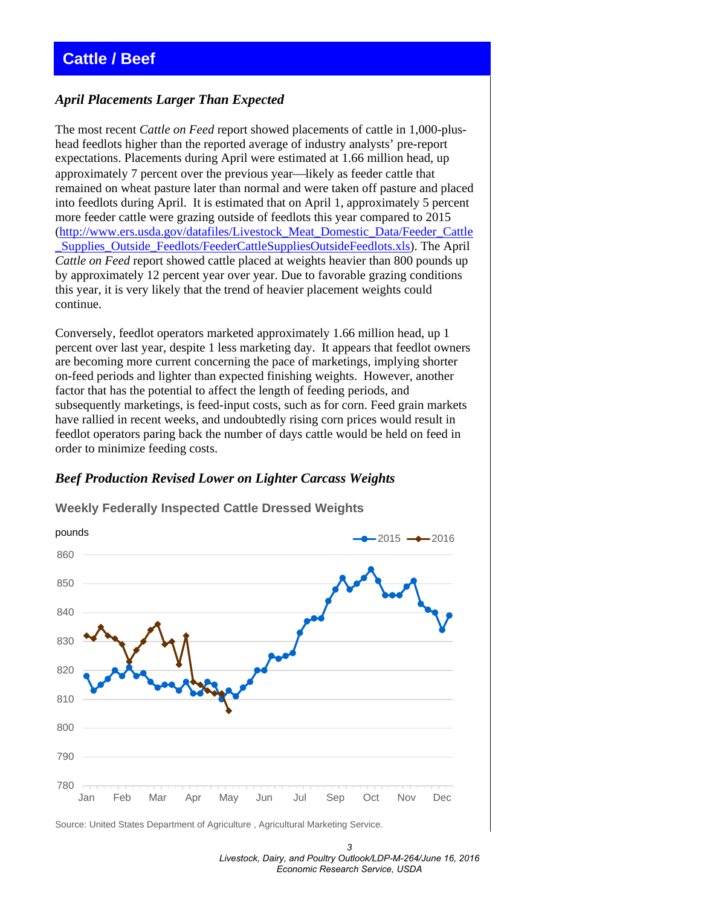### <span id="page-2-0"></span>**Cattle / Beef**

### *April Placements Larger Than Expected*

The most recent *Cattle on Feed* report showed placements of cattle in 1,000-plushead feedlots higher than the reported average of industry analysts' pre-report expectations. Placements during April were estimated at 1.66 million head, up approximately 7 percent over the previous year—likely as feeder cattle that remained on wheat pasture later than normal and were taken off pasture and placed into feedlots during April. It is estimated that on April 1, approximately 5 percent more feeder cattle were grazing outside of feedlots this year compared to 2015 [\(http://www.ers.usda.gov/datafiles/Livestock\\_Meat\\_Domestic\\_Data/Feeder\\_Cattle](http://www.ers.usda.gov/datafiles/Livestock_Meat_Domestic_Data/Feeder_Cattle_Supplies_Outside_Feedlots/FeederCattleSuppliesOutsideFeedlots.xls) [\\_Supplies\\_Outside\\_Feedlots/FeederCattleSuppliesOutsideFeedlots.xls\)](http://www.ers.usda.gov/datafiles/Livestock_Meat_Domestic_Data/Feeder_Cattle_Supplies_Outside_Feedlots/FeederCattleSuppliesOutsideFeedlots.xls). The April *Cattle on Feed* report showed cattle placed at weights heavier than 800 pounds up by approximately 12 percent year over year. Due to favorable grazing conditions this year, it is very likely that the trend of heavier placement weights could continue.

Conversely, feedlot operators marketed approximately 1.66 million head, up 1 percent over last year, despite 1 less marketing day. It appears that feedlot owners are becoming more current concerning the pace of marketings, implying shorter on-feed periods and lighter than expected finishing weights. However, another factor that has the potential to affect the length of feeding periods, and subsequently marketings, is feed-input costs, such as for corn. Feed grain markets have rallied in recent weeks, and undoubtedly rising corn prices would result in feedlot operators paring back the number of days cattle would be held on feed in order to minimize feeding costs.

### *Beef Production Revised Lower on Lighter Carcass Weights*



**Weekly Federally Inspected Cattle Dressed Weights**

Source: United States Department of Agriculture , Agricultural Marketing Service.

*3 Livestock, Dairy, and Poultry Outlook/LDP-M-264/June 16, 2016 Economic Research Service, USDA*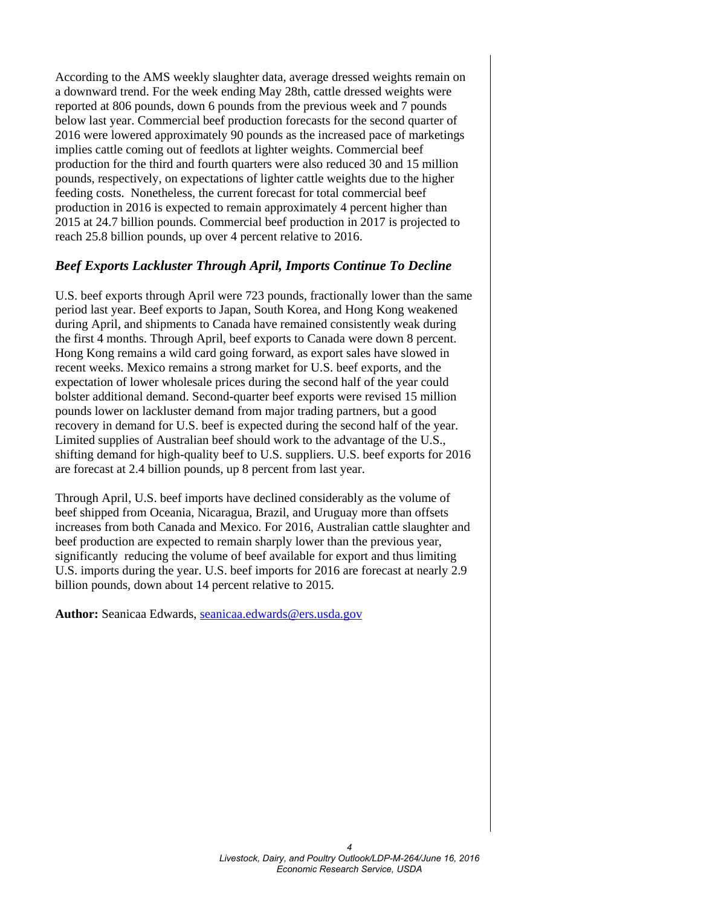According to the AMS weekly slaughter data, average dressed weights remain on a downward trend. For the week ending May 28th, cattle dressed weights were reported at 806 pounds, down 6 pounds from the previous week and 7 pounds below last year. Commercial beef production forecasts for the second quarter of 2016 were lowered approximately 90 pounds as the increased pace of marketings implies cattle coming out of feedlots at lighter weights. Commercial beef production for the third and fourth quarters were also reduced 30 and 15 million pounds, respectively, on expectations of lighter cattle weights due to the higher feeding costs. Nonetheless, the current forecast for total commercial beef production in 2016 is expected to remain approximately 4 percent higher than 2015 at 24.7 billion pounds. Commercial beef production in 2017 is projected to reach 25.8 billion pounds, up over 4 percent relative to 2016.

### *Beef Exports Lackluster Through April, Imports Continue To Decline*

U.S. beef exports through April were 723 pounds, fractionally lower than the same period last year. Beef exports to Japan, South Korea, and Hong Kong weakened during April, and shipments to Canada have remained consistently weak during the first 4 months. Through April, beef exports to Canada were down 8 percent. Hong Kong remains a wild card going forward, as export sales have slowed in recent weeks. Mexico remains a strong market for U.S. beef exports, and the expectation of lower wholesale prices during the second half of the year could bolster additional demand. Second-quarter beef exports were revised 15 million pounds lower on lackluster demand from major trading partners, but a good recovery in demand for U.S. beef is expected during the second half of the year. Limited supplies of Australian beef should work to the advantage of the U.S., shifting demand for high-quality beef to U.S. suppliers. U.S. beef exports for 2016 are forecast at 2.4 billion pounds, up 8 percent from last year.

Through April, U.S. beef imports have declined considerably as the volume of beef shipped from Oceania, Nicaragua, Brazil, and Uruguay more than offsets increases from both Canada and Mexico. For 2016, Australian cattle slaughter and beef production are expected to remain sharply lower than the previous year, significantly reducing the volume of beef available for export and thus limiting U.S. imports during the year. U.S. beef imports for 2016 are forecast at nearly 2.9 billion pounds, down about 14 percent relative to 2015.

Author: Seanicaa Edwards, [seanicaa.edwards@ers.usda.gov](mailto:seanicaa.edwards@ers.usda.gov)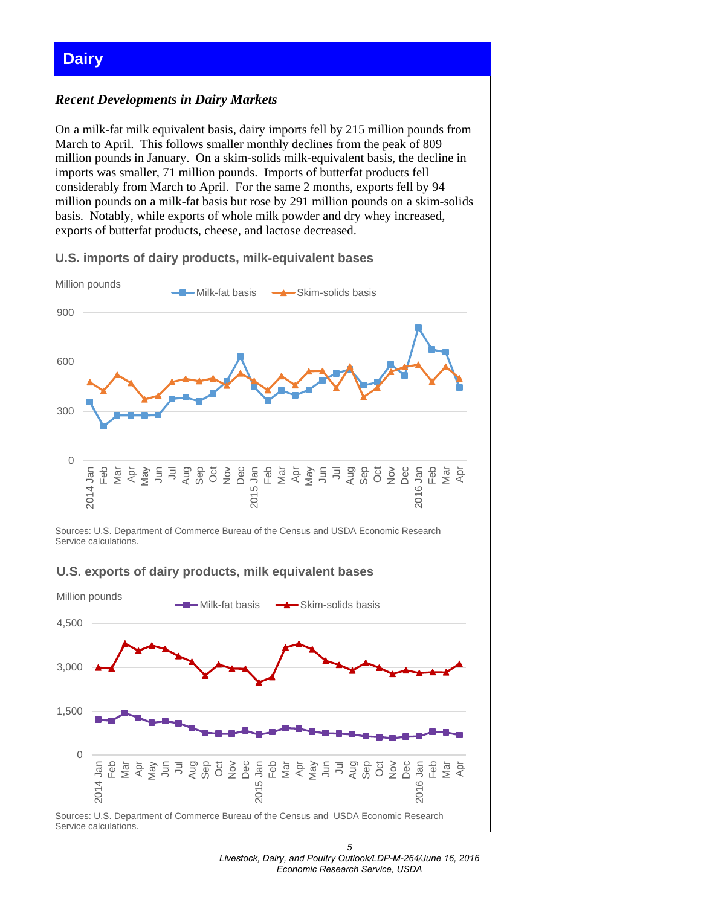### <span id="page-4-0"></span>**Dairy**

### *Recent Developments in Dairy Markets*

On a milk-fat milk equivalent basis, dairy imports fell by 215 million pounds from March to April. This follows smaller monthly declines from the peak of 809 million pounds in January. On a skim-solids milk-equivalent basis, the decline in imports was smaller, 71 million pounds. Imports of butterfat products fell considerably from March to April. For the same 2 months, exports fell by 94 million pounds on a milk-fat basis but rose by 291 million pounds on a skim-solids basis. Notably, while exports of whole milk powder and dry whey increased, exports of butterfat products, cheese, and lactose decreased.





Sources: U.S. Department of Commerce Bureau of the Census and USDA Economic Research Service calculations.

### **U.S. exports of dairy products, milk equivalent bases**



Sources: U.S. Department of Commerce Bureau of the Census and USDA Economic Research Service calculations.

*<sup>5</sup>  Livestock, Dairy, and Poultry Outlook/LDP-M-264/June 16, 2016 Economic Research Service, USDA*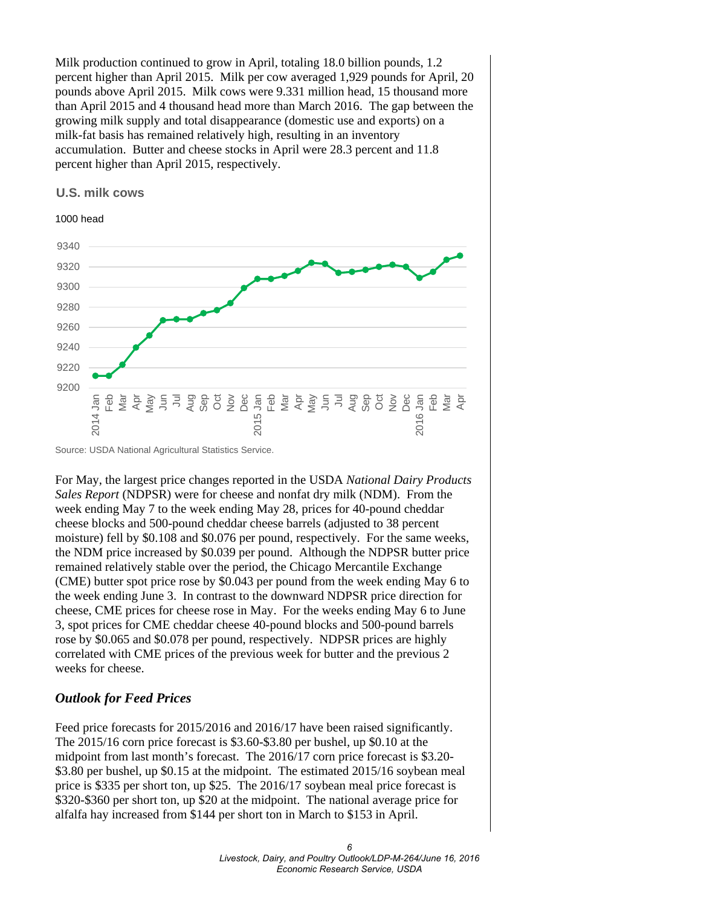Milk production continued to grow in April, totaling 18.0 billion pounds, 1.2 percent higher than April 2015. Milk per cow averaged 1,929 pounds for April, 20 pounds above April 2015. Milk cows were 9.331 million head, 15 thousand more than April 2015 and 4 thousand head more than March 2016. The gap between the growing milk supply and total disappearance (domestic use and exports) on a milk-fat basis has remained relatively high, resulting in an inventory accumulation. Butter and cheese stocks in April were 28.3 percent and 11.8 percent higher than April 2015, respectively.

### **U.S. milk cows**



Source: USDA National Agricultural Statistics Service.

For May, the largest price changes reported in the USDA *National Dairy Products Sales Report* (NDPSR) were for cheese and nonfat dry milk (NDM). From the week ending May 7 to the week ending May 28, prices for 40-pound cheddar cheese blocks and 500-pound cheddar cheese barrels (adjusted to 38 percent moisture) fell by \$0.108 and \$0.076 per pound, respectively. For the same weeks, the NDM price increased by \$0.039 per pound. Although the NDPSR butter price remained relatively stable over the period, the Chicago Mercantile Exchange (CME) butter spot price rose by \$0.043 per pound from the week ending May 6 to the week ending June 3. In contrast to the downward NDPSR price direction for cheese, CME prices for cheese rose in May. For the weeks ending May 6 to June 3, spot prices for CME cheddar cheese 40-pound blocks and 500-pound barrels rose by \$0.065 and \$0.078 per pound, respectively. NDPSR prices are highly correlated with CME prices of the previous week for butter and the previous 2 weeks for cheese.

### *Outlook for Feed Prices*

Feed price forecasts for 2015/2016 and 2016/17 have been raised significantly. The 2015/16 corn price forecast is \$3.60-\$3.80 per bushel, up \$0.10 at the midpoint from last month's forecast. The 2016/17 corn price forecast is \$3.20- \$3.80 per bushel, up \$0.15 at the midpoint. The estimated 2015/16 soybean meal price is \$335 per short ton, up \$25. The 2016/17 soybean meal price forecast is \$320-\$360 per short ton, up \$20 at the midpoint. The national average price for alfalfa hay increased from \$144 per short ton in March to \$153 in April.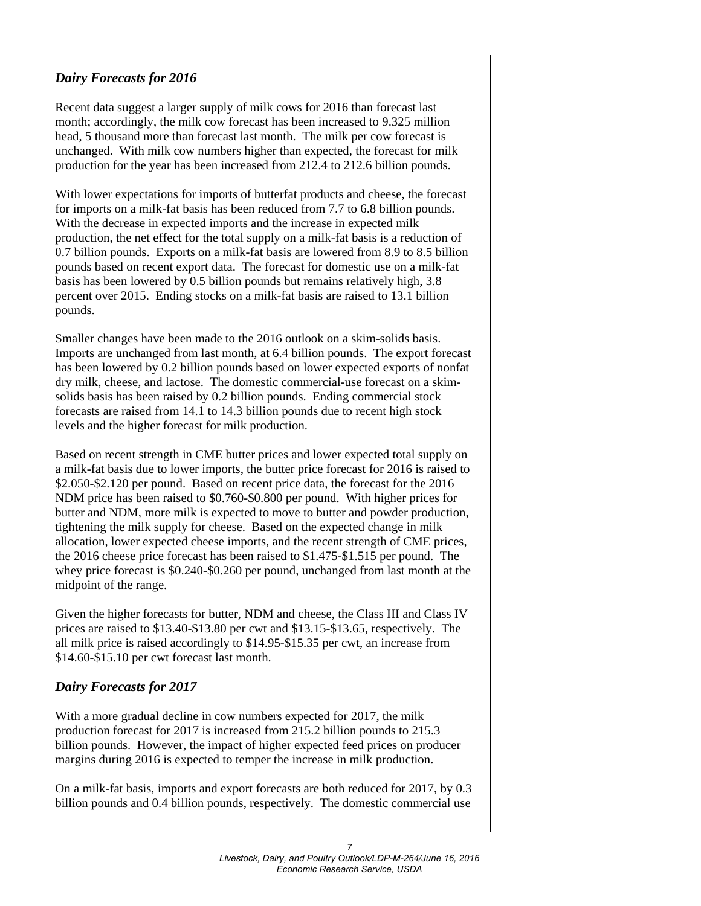### *Dairy Forecasts for 2016*

Recent data suggest a larger supply of milk cows for 2016 than forecast last month; accordingly, the milk cow forecast has been increased to 9.325 million head, 5 thousand more than forecast last month. The milk per cow forecast is unchanged. With milk cow numbers higher than expected, the forecast for milk production for the year has been increased from 212.4 to 212.6 billion pounds.

With lower expectations for imports of butterfat products and cheese, the forecast for imports on a milk-fat basis has been reduced from 7.7 to 6.8 billion pounds. With the decrease in expected imports and the increase in expected milk production, the net effect for the total supply on a milk-fat basis is a reduction of 0.7 billion pounds. Exports on a milk-fat basis are lowered from 8.9 to 8.5 billion pounds based on recent export data. The forecast for domestic use on a milk-fat basis has been lowered by 0.5 billion pounds but remains relatively high, 3.8 percent over 2015. Ending stocks on a milk-fat basis are raised to 13.1 billion pounds.

Smaller changes have been made to the 2016 outlook on a skim-solids basis. Imports are unchanged from last month, at 6.4 billion pounds. The export forecast has been lowered by 0.2 billion pounds based on lower expected exports of nonfat dry milk, cheese, and lactose. The domestic commercial-use forecast on a skimsolids basis has been raised by 0.2 billion pounds. Ending commercial stock forecasts are raised from 14.1 to 14.3 billion pounds due to recent high stock levels and the higher forecast for milk production.

Based on recent strength in CME butter prices and lower expected total supply on a milk-fat basis due to lower imports, the butter price forecast for 2016 is raised to \$2.050-\$2.120 per pound. Based on recent price data, the forecast for the 2016 NDM price has been raised to \$0.760-\$0.800 per pound. With higher prices for butter and NDM, more milk is expected to move to butter and powder production, tightening the milk supply for cheese. Based on the expected change in milk allocation, lower expected cheese imports, and the recent strength of CME prices, the 2016 cheese price forecast has been raised to \$1.475-\$1.515 per pound. The whey price forecast is \$0.240-\$0.260 per pound, unchanged from last month at the midpoint of the range.

Given the higher forecasts for butter, NDM and cheese, the Class III and Class IV prices are raised to \$13.40-\$13.80 per cwt and \$13.15-\$13.65, respectively. The all milk price is raised accordingly to \$14.95-\$15.35 per cwt, an increase from \$14.60-\$15.10 per cwt forecast last month.

### *Dairy Forecasts for 2017*

With a more gradual decline in cow numbers expected for 2017, the milk production forecast for 2017 is increased from 215.2 billion pounds to 215.3 billion pounds. However, the impact of higher expected feed prices on producer margins during 2016 is expected to temper the increase in milk production.

On a milk-fat basis, imports and export forecasts are both reduced for 2017, by 0.3 billion pounds and 0.4 billion pounds, respectively. The domestic commercial use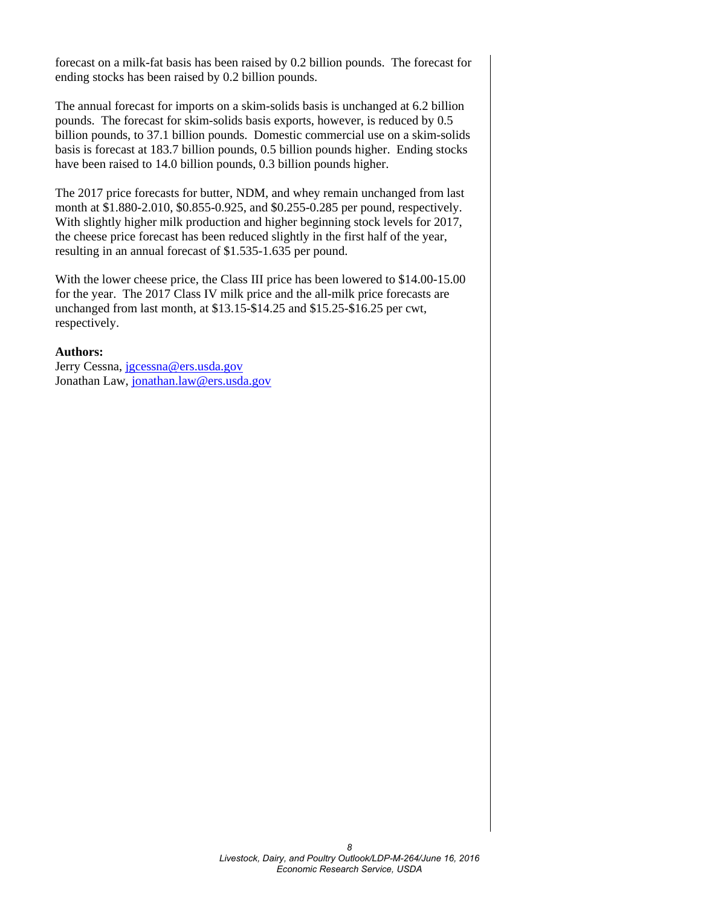forecast on a milk-fat basis has been raised by 0.2 billion pounds. The forecast for ending stocks has been raised by 0.2 billion pounds.

The annual forecast for imports on a skim-solids basis is unchanged at 6.2 billion pounds. The forecast for skim-solids basis exports, however, is reduced by 0.5 billion pounds, to 37.1 billion pounds. Domestic commercial use on a skim-solids basis is forecast at 183.7 billion pounds, 0.5 billion pounds higher. Ending stocks have been raised to 14.0 billion pounds, 0.3 billion pounds higher.

The 2017 price forecasts for butter, NDM, and whey remain unchanged from last month at \$1.880-2.010, \$0.855-0.925, and \$0.255-0.285 per pound, respectively. With slightly higher milk production and higher beginning stock levels for 2017, the cheese price forecast has been reduced slightly in the first half of the year, resulting in an annual forecast of \$1.535-1.635 per pound.

With the lower cheese price, the Class III price has been lowered to \$14.00-15.00 for the year. The 2017 Class IV milk price and the all-milk price forecasts are unchanged from last month, at \$13.15-\$14.25 and \$15.25-\$16.25 per cwt, respectively.

#### **Authors:**

Jerry Cessna, [jgcessna@ers.usda.gov](mailto:jgcessna@ers.usda.gov) Jonathan Law, [jonathan.law@ers.usda.gov](mailto:jonathan.law@ers.usda.gov)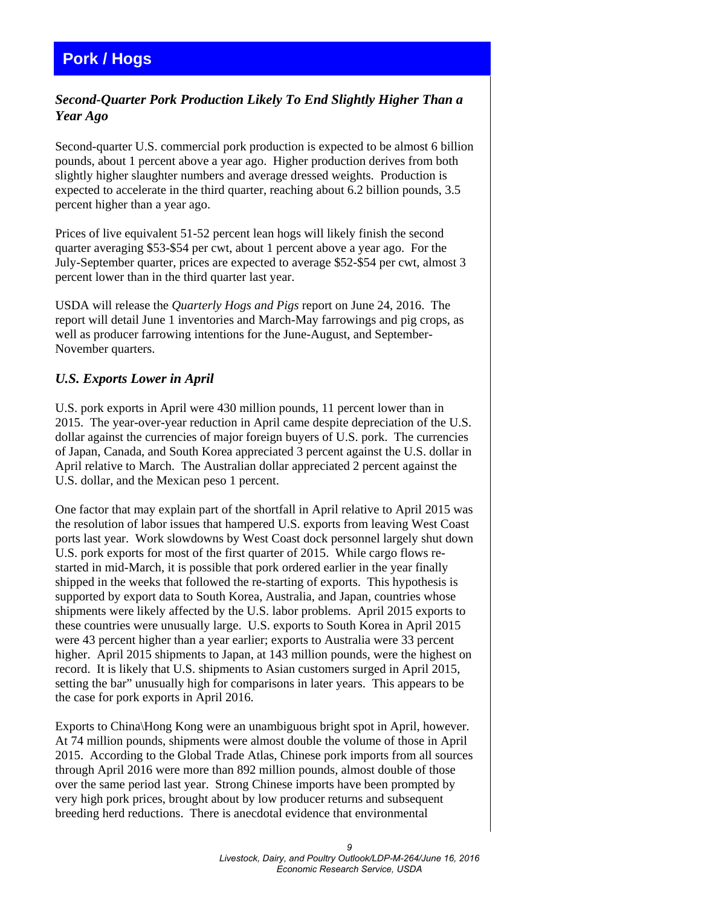### <span id="page-8-0"></span>**Pork / Hogs**

### *Second-Quarter Pork Production Likely To End Slightly Higher Than a Year Ago*

Second-quarter U.S. commercial pork production is expected to be almost 6 billion pounds, about 1 percent above a year ago. Higher production derives from both slightly higher slaughter numbers and average dressed weights. Production is expected to accelerate in the third quarter, reaching about 6.2 billion pounds, 3.5 percent higher than a year ago.

Prices of live equivalent 51-52 percent lean hogs will likely finish the second quarter averaging \$53-\$54 per cwt, about 1 percent above a year ago. For the July-September quarter, prices are expected to average \$52-\$54 per cwt, almost 3 percent lower than in the third quarter last year.

USDA will release the *Quarterly Hogs and Pigs* report on June 24, 2016. The report will detail June 1 inventories and March-May farrowings and pig crops, as well as producer farrowing intentions for the June-August, and September-November quarters.

### *U.S. Exports Lower in April*

U.S. pork exports in April were 430 million pounds, 11 percent lower than in 2015. The year-over-year reduction in April came despite depreciation of the U.S. dollar against the currencies of major foreign buyers of U.S. pork. The currencies of Japan, Canada, and South Korea appreciated 3 percent against the U.S. dollar in April relative to March. The Australian dollar appreciated 2 percent against the U.S. dollar, and the Mexican peso 1 percent.

One factor that may explain part of the shortfall in April relative to April 2015 was the resolution of labor issues that hampered U.S. exports from leaving West Coast ports last year. Work slowdowns by West Coast dock personnel largely shut down U.S. pork exports for most of the first quarter of 2015. While cargo flows restarted in mid-March, it is possible that pork ordered earlier in the year finally shipped in the weeks that followed the re-starting of exports. This hypothesis is supported by export data to South Korea, Australia, and Japan, countries whose shipments were likely affected by the U.S. labor problems. April 2015 exports to these countries were unusually large. U.S. exports to South Korea in April 2015 were 43 percent higher than a year earlier; exports to Australia were 33 percent higher. April 2015 shipments to Japan, at 143 million pounds, were the highest on record. It is likely that U.S. shipments to Asian customers surged in April 2015, setting the bar" unusually high for comparisons in later years. This appears to be the case for pork exports in April 2016.

Exports to China\Hong Kong were an unambiguous bright spot in April, however. At 74 million pounds, shipments were almost double the volume of those in April 2015. According to the Global Trade Atlas, Chinese pork imports from all sources through April 2016 were more than 892 million pounds, almost double of those over the same period last year. Strong Chinese imports have been prompted by very high pork prices, brought about by low producer returns and subsequent breeding herd reductions. There is anecdotal evidence that environmental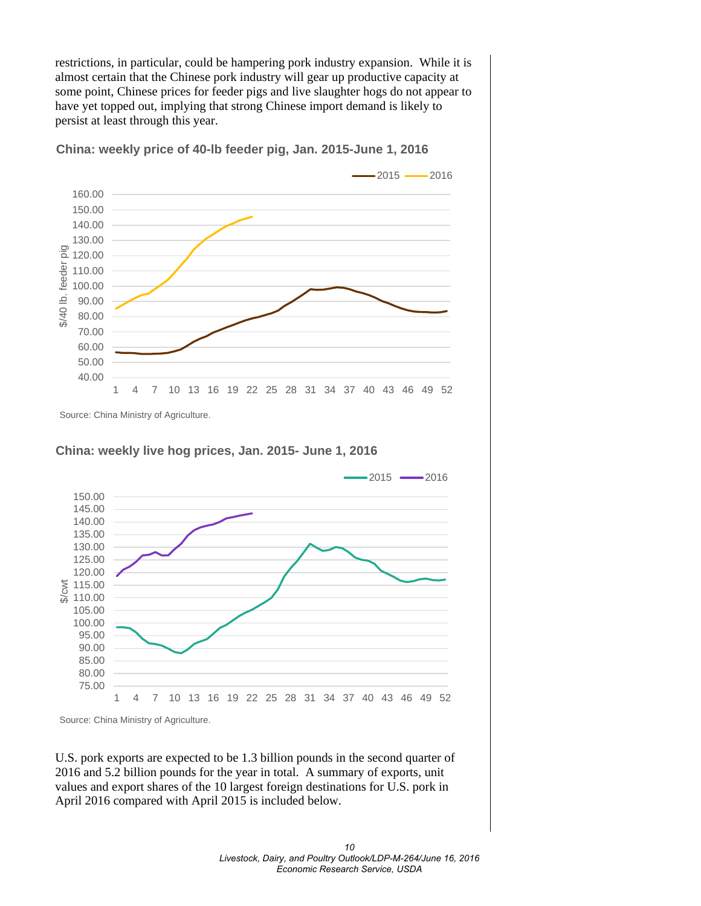restrictions, in particular, could be hampering pork industry expansion. While it is almost certain that the Chinese pork industry will gear up productive capacity at some point, Chinese prices for feeder pigs and live slaughter hogs do not appear to have yet topped out, implying that strong Chinese import demand is likely to persist at least through this year.

**China: weekly price of 40-lb feeder pig, Jan. 2015-June 1, 2016**



Source: China Ministry of Agriculture.

### **China: weekly live hog prices, Jan. 2015- June 1, 2016**



Source: China Ministry of Agriculture.

U.S. pork exports are expected to be 1.3 billion pounds in the second quarter of 2016 and 5.2 billion pounds for the year in total. A summary of exports, unit values and export shares of the 10 largest foreign destinations for U.S. pork in April 2016 compared with April 2015 is included below.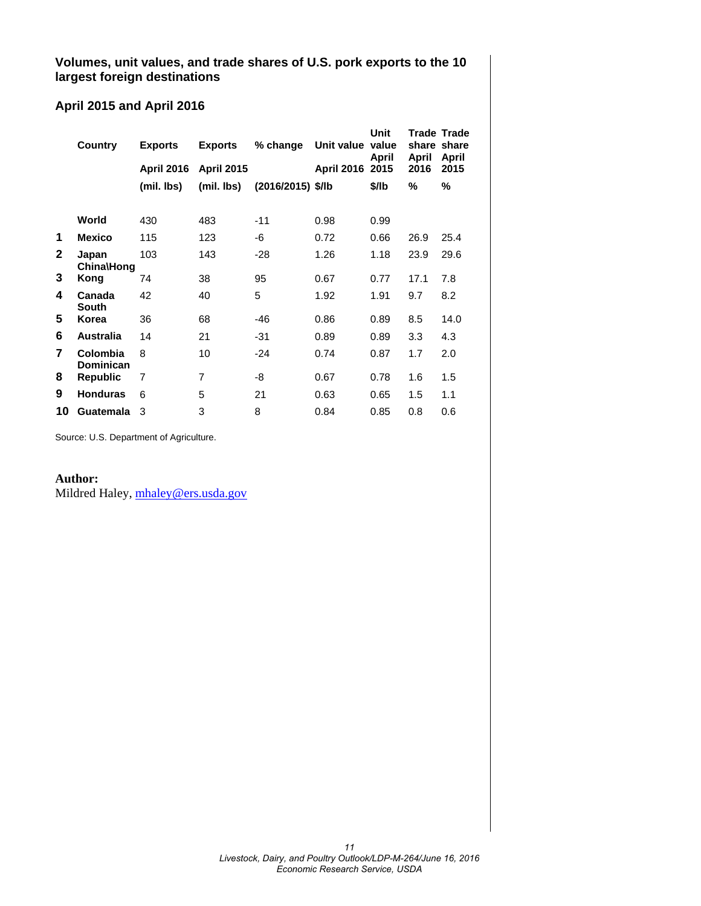**Volumes, unit values, and trade shares of U.S. pork exports to the 10 largest foreign destinations**

### **April 2015 and April 2016**

|    | Country                    | <b>Exports</b>    | <b>Exports</b>    | % change          | Unit value value | Unit<br>April | share share<br>April | Trade Trade<br>April |  |
|----|----------------------------|-------------------|-------------------|-------------------|------------------|---------------|----------------------|----------------------|--|
|    |                            | <b>April 2016</b> | <b>April 2015</b> |                   | April 2016 2015  |               | 2016                 | 2015                 |  |
|    |                            | (mil. lbs)        | (mil. lbs)        | (2016/2015) \$/lb |                  | \$/lb         | %                    | %                    |  |
|    |                            |                   |                   |                   |                  |               |                      |                      |  |
|    | World                      | 430               | 483               | $-11$             | 0.98             | 0.99          |                      |                      |  |
| 1  | <b>Mexico</b>              | 115               | 123               | -6                | 0.72             | 0.66          | 26.9                 | 25.4                 |  |
| 2  | Japan<br><b>China\Hong</b> | 103               | 143               | $-28$             | 1.26             | 1.18          | 23.9                 | 29.6                 |  |
| 3  | Kong                       | 74                | 38                | 95                | 0.67             | 0.77          | 17.1                 | 7.8                  |  |
| 4  | Canada<br><b>South</b>     | 42                | 40                | 5                 | 1.92             | 1.91          | 9.7                  | 8.2                  |  |
| 5  | Korea                      | 36                | 68                | $-46$             | 0.86             | 0.89          | 8.5                  | 14.0                 |  |
| 6  | <b>Australia</b>           | 14                | 21                | -31               | 0.89             | 0.89          | 3.3                  | 4.3                  |  |
| 7  | Colombia<br>Dominican      | 8                 | 10                | -24               | 0.74             | 0.87          | 1.7                  | 2.0                  |  |
| 8  | <b>Republic</b>            | 7                 | 7                 | -8                | 0.67             | 0.78          | 1.6                  | 1.5                  |  |
| 9  | <b>Honduras</b>            | 6                 | 5                 | 21                | 0.63             | 0.65          | 1.5                  | 1.1                  |  |
| 10 | Guatemala                  | 3                 | 3                 | 8                 | 0.84             | 0.85          | 0.8                  | 0.6                  |  |

Source: U.S. Department of Agriculture.

### **Author:**

Mildred Haley, [mhaley@ers.usda.gov](mailto:mhaley@ers.usda.gov)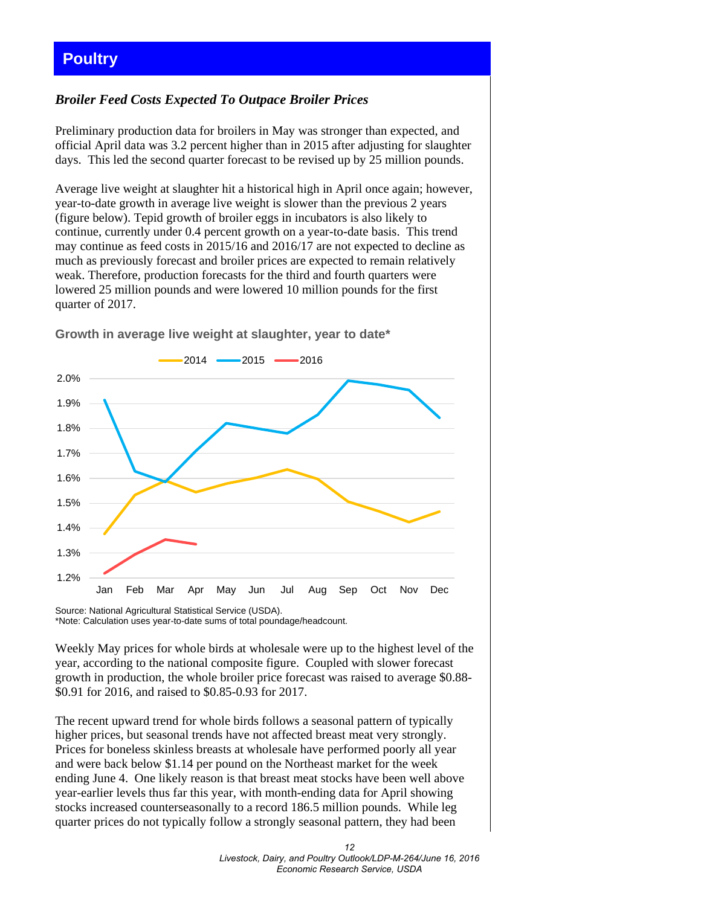### <span id="page-11-0"></span>**Poultry**

### *Broiler Feed Costs Expected To Outpace Broiler Prices*

Preliminary production data for broilers in May was stronger than expected, and official April data was 3.2 percent higher than in 2015 after adjusting for slaughter days. This led the second quarter forecast to be revised up by 25 million pounds.

Average live weight at slaughter hit a historical high in April once again; however, year-to-date growth in average live weight is slower than the previous 2 years (figure below). Tepid growth of broiler eggs in incubators is also likely to continue, currently under 0.4 percent growth on a year-to-date basis. This trend may continue as feed costs in 2015/16 and 2016/17 are not expected to decline as much as previously forecast and broiler prices are expected to remain relatively weak. Therefore, production forecasts for the third and fourth quarters were lowered 25 million pounds and were lowered 10 million pounds for the first quarter of 2017.



**Growth in average live weight at slaughter, year to date\***

Source: National Agricultural Statistical Service (USDA). \*Note: Calculation uses year-to-date sums of total poundage/headcount.

Weekly May prices for whole birds at wholesale were up to the highest level of the year, according to the national composite figure. Coupled with slower forecast growth in production, the whole broiler price forecast was raised to average \$0.88- \$0.91 for 2016, and raised to \$0.85-0.93 for 2017.

The recent upward trend for whole birds follows a seasonal pattern of typically higher prices, but seasonal trends have not affected breast meat very strongly. Prices for boneless skinless breasts at wholesale have performed poorly all year and were back below \$1.14 per pound on the Northeast market for the week ending June 4. One likely reason is that breast meat stocks have been well above year-earlier levels thus far this year, with month-ending data for April showing stocks increased counterseasonally to a record 186.5 million pounds. While leg quarter prices do not typically follow a strongly seasonal pattern, they had been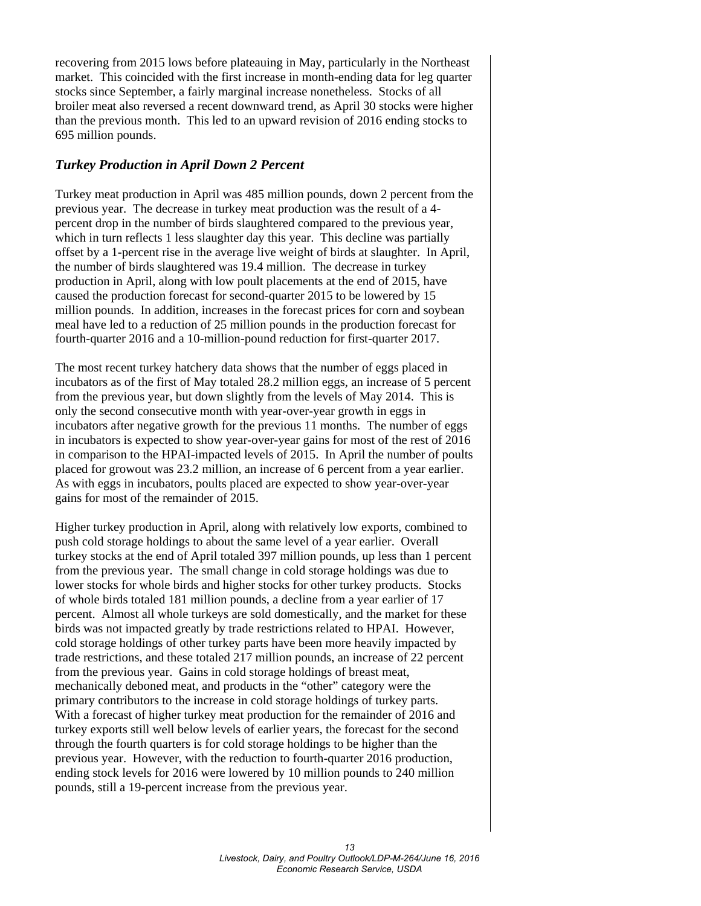recovering from 2015 lows before plateauing in May, particularly in the Northeast market. This coincided with the first increase in month-ending data for leg quarter stocks since September, a fairly marginal increase nonetheless. Stocks of all broiler meat also reversed a recent downward trend, as April 30 stocks were higher than the previous month. This led to an upward revision of 2016 ending stocks to 695 million pounds.

### *Turkey Production in April Down 2 Percent*

Turkey meat production in April was 485 million pounds, down 2 percent from the previous year. The decrease in turkey meat production was the result of a 4 percent drop in the number of birds slaughtered compared to the previous year, which in turn reflects 1 less slaughter day this year. This decline was partially offset by a 1-percent rise in the average live weight of birds at slaughter. In April, the number of birds slaughtered was 19.4 million. The decrease in turkey production in April, along with low poult placements at the end of 2015, have caused the production forecast for second-quarter 2015 to be lowered by 15 million pounds. In addition, increases in the forecast prices for corn and soybean meal have led to a reduction of 25 million pounds in the production forecast for fourth-quarter 2016 and a 10-million-pound reduction for first-quarter 2017.

The most recent turkey hatchery data shows that the number of eggs placed in incubators as of the first of May totaled 28.2 million eggs, an increase of 5 percent from the previous year, but down slightly from the levels of May 2014. This is only the second consecutive month with year-over-year growth in eggs in incubators after negative growth for the previous 11 months. The number of eggs in incubators is expected to show year-over-year gains for most of the rest of 2016 in comparison to the HPAI-impacted levels of 2015. In April the number of poults placed for growout was 23.2 million, an increase of 6 percent from a year earlier. As with eggs in incubators, poults placed are expected to show year-over-year gains for most of the remainder of 2015.

Higher turkey production in April, along with relatively low exports, combined to push cold storage holdings to about the same level of a year earlier. Overall turkey stocks at the end of April totaled 397 million pounds, up less than 1 percent from the previous year. The small change in cold storage holdings was due to lower stocks for whole birds and higher stocks for other turkey products. Stocks of whole birds totaled 181 million pounds, a decline from a year earlier of 17 percent. Almost all whole turkeys are sold domestically, and the market for these birds was not impacted greatly by trade restrictions related to HPAI. However, cold storage holdings of other turkey parts have been more heavily impacted by trade restrictions, and these totaled 217 million pounds, an increase of 22 percent from the previous year. Gains in cold storage holdings of breast meat, mechanically deboned meat, and products in the "other" category were the primary contributors to the increase in cold storage holdings of turkey parts. With a forecast of higher turkey meat production for the remainder of 2016 and turkey exports still well below levels of earlier years, the forecast for the second through the fourth quarters is for cold storage holdings to be higher than the previous year. However, with the reduction to fourth-quarter 2016 production, ending stock levels for 2016 were lowered by 10 million pounds to 240 million pounds, still a 19-percent increase from the previous year.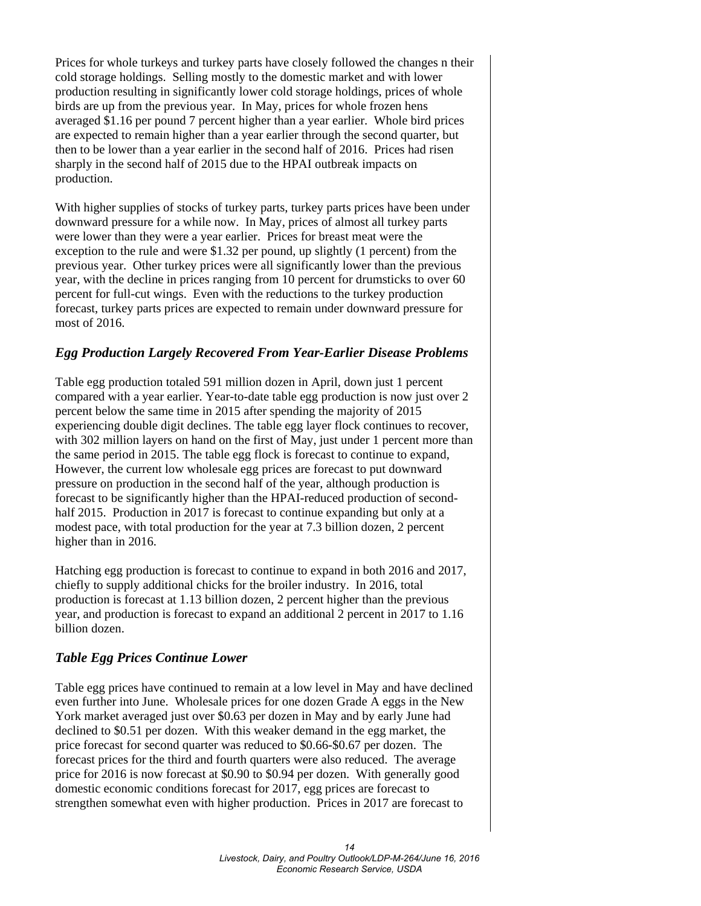Prices for whole turkeys and turkey parts have closely followed the changes n their cold storage holdings. Selling mostly to the domestic market and with lower production resulting in significantly lower cold storage holdings, prices of whole birds are up from the previous year. In May, prices for whole frozen hens averaged \$1.16 per pound 7 percent higher than a year earlier. Whole bird prices are expected to remain higher than a year earlier through the second quarter, but then to be lower than a year earlier in the second half of 2016. Prices had risen sharply in the second half of 2015 due to the HPAI outbreak impacts on production.

With higher supplies of stocks of turkey parts, turkey parts prices have been under downward pressure for a while now. In May, prices of almost all turkey parts were lower than they were a year earlier. Prices for breast meat were the exception to the rule and were \$1.32 per pound, up slightly (1 percent) from the previous year. Other turkey prices were all significantly lower than the previous year, with the decline in prices ranging from 10 percent for drumsticks to over 60 percent for full-cut wings. Even with the reductions to the turkey production forecast, turkey parts prices are expected to remain under downward pressure for most of 2016.

### *Egg Production Largely Recovered From Year-Earlier Disease Problems*

Table egg production totaled 591 million dozen in April, down just 1 percent compared with a year earlier. Year-to-date table egg production is now just over 2 percent below the same time in 2015 after spending the majority of 2015 experiencing double digit declines. The table egg layer flock continues to recover, with 302 million layers on hand on the first of May, just under 1 percent more than the same period in 2015. The table egg flock is forecast to continue to expand, However, the current low wholesale egg prices are forecast to put downward pressure on production in the second half of the year, although production is forecast to be significantly higher than the HPAI-reduced production of secondhalf 2015. Production in 2017 is forecast to continue expanding but only at a modest pace, with total production for the year at 7.3 billion dozen, 2 percent higher than in 2016.

Hatching egg production is forecast to continue to expand in both 2016 and 2017, chiefly to supply additional chicks for the broiler industry. In 2016, total production is forecast at 1.13 billion dozen, 2 percent higher than the previous year, and production is forecast to expand an additional 2 percent in 2017 to 1.16 billion dozen.

### *Table Egg Prices Continue Lower*

Table egg prices have continued to remain at a low level in May and have declined even further into June. Wholesale prices for one dozen Grade A eggs in the New York market averaged just over \$0.63 per dozen in May and by early June had declined to \$0.51 per dozen. With this weaker demand in the egg market, the price forecast for second quarter was reduced to \$0.66-\$0.67 per dozen. The forecast prices for the third and fourth quarters were also reduced. The average price for 2016 is now forecast at \$0.90 to \$0.94 per dozen. With generally good domestic economic conditions forecast for 2017, egg prices are forecast to strengthen somewhat even with higher production. Prices in 2017 are forecast to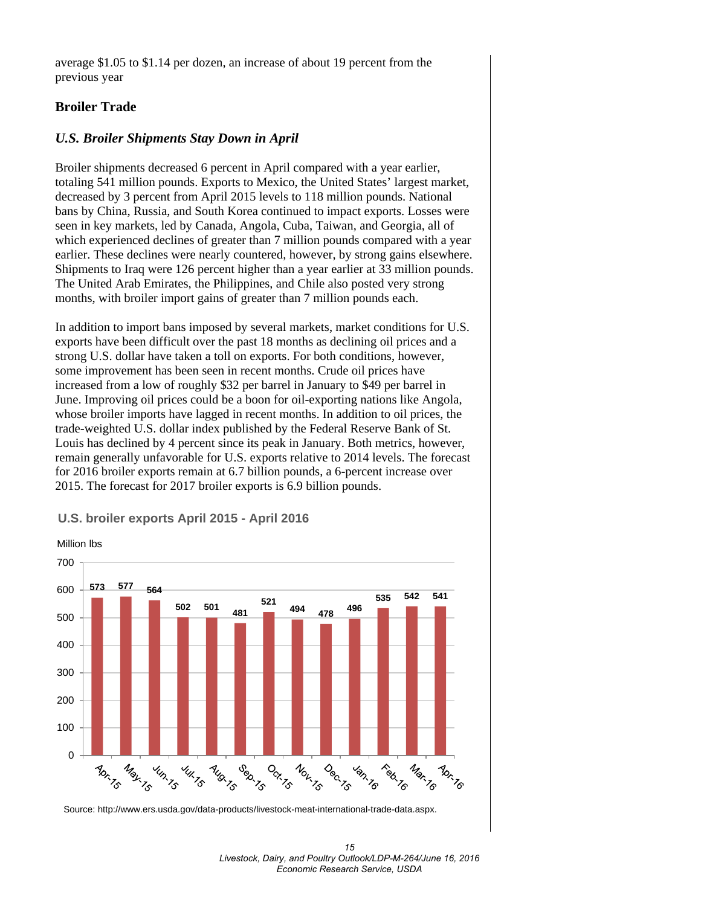average \$1.05 to \$1.14 per dozen, an increase of about 19 percent from the previous year

### **Broiler Trade**

### *U.S. Broiler Shipments Stay Down in April*

Broiler shipments decreased 6 percent in April compared with a year earlier, totaling 541 million pounds. Exports to Mexico, the United States' largest market, decreased by 3 percent from April 2015 levels to 118 million pounds. National bans by China, Russia, and South Korea continued to impact exports. Losses were seen in key markets, led by Canada, Angola, Cuba, Taiwan, and Georgia, all of which experienced declines of greater than 7 million pounds compared with a year earlier. These declines were nearly countered, however, by strong gains elsewhere. Shipments to Iraq were 126 percent higher than a year earlier at 33 million pounds. The United Arab Emirates, the Philippines, and Chile also posted very strong months, with broiler import gains of greater than 7 million pounds each.

In addition to import bans imposed by several markets, market conditions for U.S. exports have been difficult over the past 18 months as declining oil prices and a strong U.S. dollar have taken a toll on exports. For both conditions, however, some improvement has been seen in recent months. Crude oil prices have increased from a low of roughly \$32 per barrel in January to \$49 per barrel in June. Improving oil prices could be a boon for oil-exporting nations like Angola, whose broiler imports have lagged in recent months. In addition to oil prices, the trade-weighted U.S. dollar index published by the Federal Reserve Bank of St. Louis has declined by 4 percent since its peak in January. Both metrics, however, remain generally unfavorable for U.S. exports relative to 2014 levels. The forecast for 2016 broiler exports remain at 6.7 billion pounds, a 6-percent increase over 2015. The forecast for 2017 broiler exports is 6.9 billion pounds.



### **U.S. broiler exports April 2015 - April 2016**

Source: http://www.ers.usda.gov/data-products/livestock-meat-international-trade-data.aspx.

*<sup>15</sup>  Livestock, Dairy, and Poultry Outlook/LDP-M-264/June 16, 2016 Economic Research Service, USDA*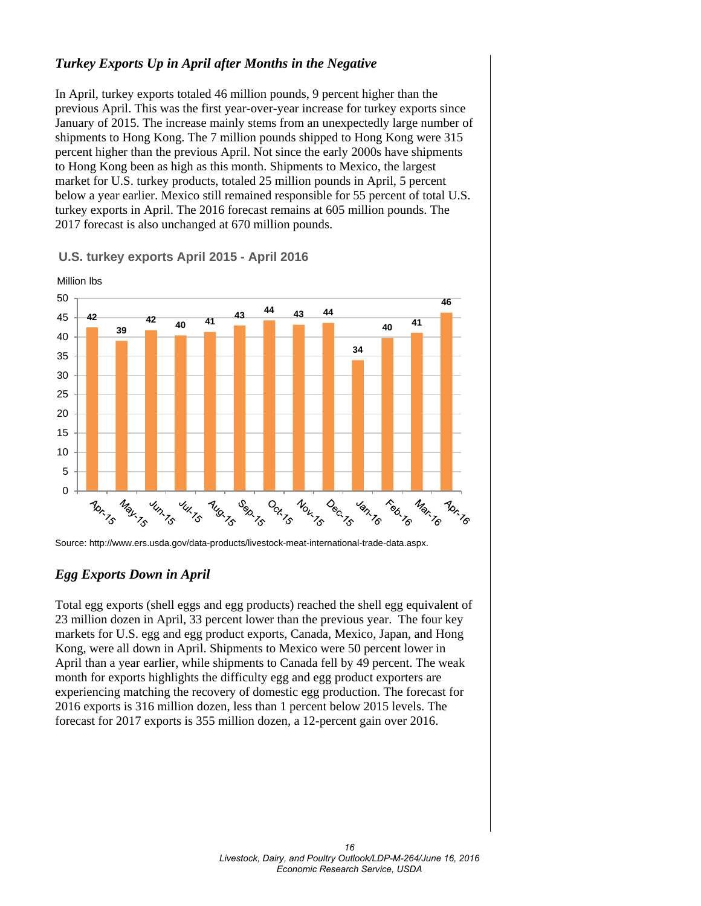### *Turkey Exports Up in April after Months in the Negative*

In April, turkey exports totaled 46 million pounds, 9 percent higher than the previous April. This was the first year-over-year increase for turkey exports since January of 2015. The increase mainly stems from an unexpectedly large number of shipments to Hong Kong. The 7 million pounds shipped to Hong Kong were 315 percent higher than the previous April. Not since the early 2000s have shipments to Hong Kong been as high as this month. Shipments to Mexico, the largest market for U.S. turkey products, totaled 25 million pounds in April, 5 percent below a year earlier. Mexico still remained responsible for 55 percent of total U.S. turkey exports in April. The 2016 forecast remains at 605 million pounds. The 2017 forecast is also unchanged at 670 million pounds.



**U.S. turkey exports April 2015 - April 2016**

Source: http://www.ers.usda.gov/data-products/livestock-meat-international-trade-data.aspx.

### *Egg Exports Down in April*

Total egg exports (shell eggs and egg products) reached the shell egg equivalent of 23 million dozen in April, 33 percent lower than the previous year. The four key markets for U.S. egg and egg product exports, Canada, Mexico, Japan, and Hong Kong, were all down in April. Shipments to Mexico were 50 percent lower in April than a year earlier, while shipments to Canada fell by 49 percent. The weak month for exports highlights the difficulty egg and egg product exporters are experiencing matching the recovery of domestic egg production. The forecast for 2016 exports is 316 million dozen, less than 1 percent below 2015 levels. The forecast for 2017 exports is 355 million dozen, a 12-percent gain over 2016.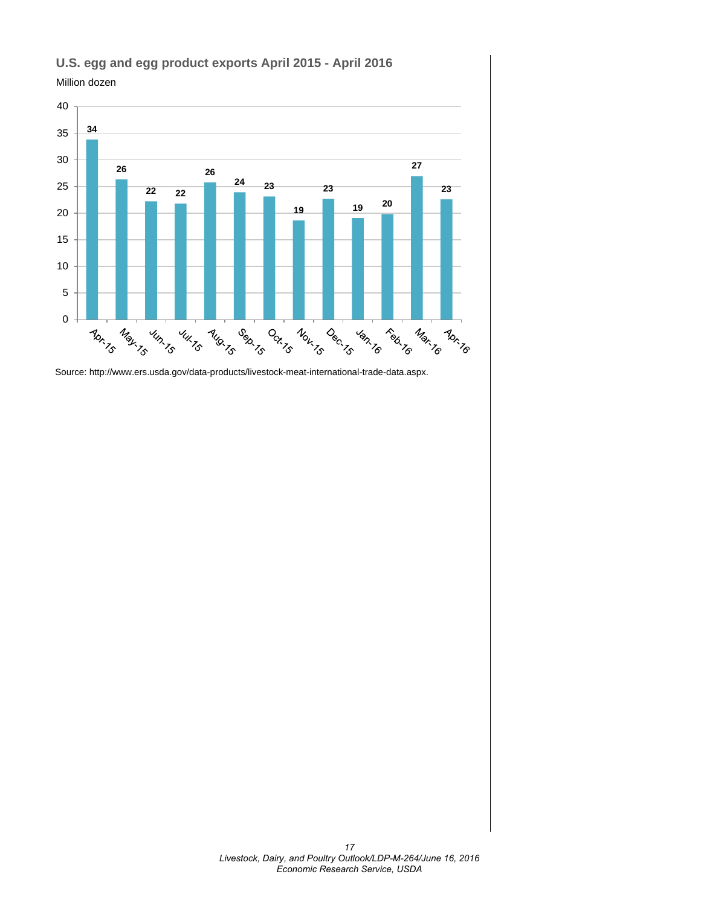

### **U.S. egg and egg product exports April 2015 - April 2016**

Million dozen

Source: http://www.ers.usda.gov/data-products/livestock-meat-international-trade-data.aspx.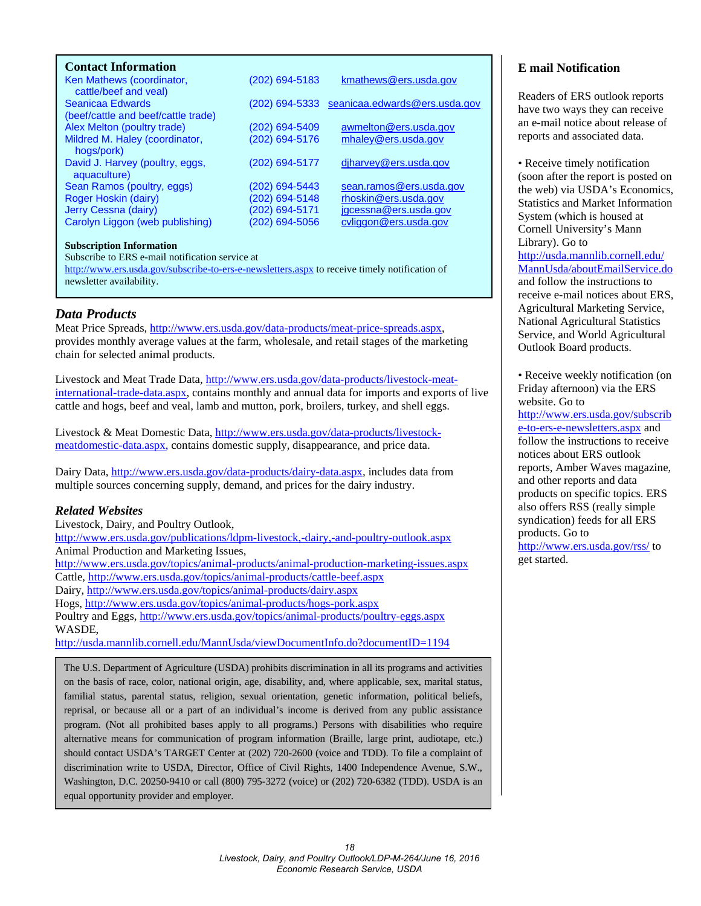### <span id="page-17-0"></span>**Contact Information**

| Ken Mathews (coordinator,<br>cattle/beef and yeal)      | (202) 694-5183 | kmathews@ers.usda.gov                        |
|---------------------------------------------------------|----------------|----------------------------------------------|
| Seanicaa Edwards<br>(beef/cattle and beef/cattle trade) |                | (202) 694-5333 seanicaa.edwards@ers.usda.gov |
| Alex Melton (poultry trade)                             | (202) 694-5409 | awmelton@ers.usda.gov                        |
| Mildred M. Haley (coordinator,<br>hogs/pork)            | (202) 694-5176 | mhaley@ers.usda.gov                          |
| David J. Harvey (poultry, eggs,<br>aquaculture)         | (202) 694-5177 | diharvey@ers.usda.gov                        |
| Sean Ramos (poultry, eggs)                              | (202) 694-5443 | sean.ramos@ers.usda.gov                      |
| Roger Hoskin (dairy)                                    | (202) 694-5148 | rhoskin@ers.usda.gov                         |
| Jerry Cessna (dairy)                                    | (202) 694-5171 | jgcessna@ers.usda.gov                        |
| Carolyn Liggon (web publishing)                         | (202) 694-5056 | cyliggon@ers.usda.gov                        |
|                                                         |                |                                              |

#### **Subscription Information**

Subscribe to ERS e-mail notification service at

<http://www.ers.usda.gov/subscribe-to-ers-e-newsletters.aspx> to receive timely notification of newsletter availability.

### *Data Products*

Meat Price Spreads, [http://www.ers.usda.gov/data-products/meat-price-spreads.aspx,](http://www.ers.usda.gov/data-products/meat-price-spreads.aspx)  provides monthly average values at the farm, wholesale, and retail stages of the marketing chain for selected animal products.

Livestock and Meat Trade Data, [http://www.ers.usda.gov/data-products/livestock-meat](http://www.ers.usda.gov/data-products/livestock-meat-international-trade-data.aspx)[international-trade-data.aspx,](http://www.ers.usda.gov/data-products/livestock-meat-international-trade-data.aspx) contains monthly and annual data for imports and exports of live cattle and hogs, beef and veal, lamb and mutton, pork, broilers, turkey, and shell eggs.

Livestock & Meat Domestic Data, [http://www.ers.usda.gov/data-products/livestock](http://www.ers.usda.gov/data-products/livestock-meatdomestic-data.aspx)[meatdomestic-data.aspx,](http://www.ers.usda.gov/data-products/livestock-meatdomestic-data.aspx) contains domestic supply, disappearance, and price data.

Dairy Data, [http://www.ers.usda.gov/data-products/dairy-data.aspx,](http://www.ers.usda.gov/data-products/dairy-data.aspx) includes data from multiple sources concerning supply, demand, and prices for the dairy industry.

#### *Related Websites*

Livestock, Dairy, and Poultry Outlook, <http://www.ers.usda.gov/publications/ldpm-livestock,-dairy,-and-poultry-outlook.aspx> Animal Production and Marketing Issues, <http://www.ers.usda.gov/topics/animal-products/animal-production-marketing-issues.aspx> Cattle,<http://www.ers.usda.gov/topics/animal-products/cattle-beef.aspx> Dairy,<http://www.ers.usda.gov/topics/animal-products/dairy.aspx> Hogs,<http://www.ers.usda.gov/topics/animal-products/hogs-pork.aspx> Poultry and Eggs,<http://www.ers.usda.gov/topics/animal-products/poultry-eggs.aspx> WASDE,

<http://usda.mannlib.cornell.edu/MannUsda/viewDocumentInfo.do?documentID=1194>

The U.S. Department of Agriculture (USDA) prohibits discrimination in all its programs and activities on the basis of race, color, national origin, age, disability, and, where applicable, sex, marital status, familial status, parental status, religion, sexual orientation, genetic information, political beliefs, reprisal, or because all or a part of an individual's income is derived from any public assistance program. (Not all prohibited bases apply to all programs.) Persons with disabilities who require alternative means for communication of program information (Braille, large print, audiotape, etc.) should contact USDA's TARGET Center at (202) 720-2600 (voice and TDD). To file a complaint of discrimination write to USDA, Director, Office of Civil Rights, 1400 Independence Avenue, S.W., Washington, D.C. 20250-9410 or call (800) 795-3272 (voice) or (202) 720-6382 (TDD). USDA is an equal opportunity provider and employer.

#### **E mail Notification**

Readers of ERS outlook reports have two ways they can receive an e-mail notice about release of reports and associated data.

• Receive timely notification (soon after the report is posted on the web) via USDA's Economics, Statistics and Market Information System (which is housed at Cornell University's Mann Library). Go to [http://usda.mannlib.cornell.edu/](http://usda.mannlib.cornell.edu/MannUsda/aboutEmailService.do) [MannUsda/aboutEmailService.do](http://usda.mannlib.cornell.edu/MannUsda/aboutEmailService.do) and follow the instructions to receive e-mail notices about ERS, Agricultural Marketing Service, National Agricultural Statistics Service, and World Agricultural Outlook Board products.

• Receive weekly notification (on Friday afternoon) via the ERS website. Go to

[http://www.ers.usda.gov/subscrib](http://www.ers.usda.gov/subscribe-to-ers-e-newsletters.aspx) [e-to-ers-e-newsletters.aspx](http://www.ers.usda.gov/subscribe-to-ers-e-newsletters.aspx) and follow the instructions to receive notices about ERS outlook reports, Amber Waves magazine, and other reports and data products on specific topics. ERS also offers RSS (really simple syndication) feeds for all ERS products. Go to <http://www.ers.usda.gov/rss/> to get started.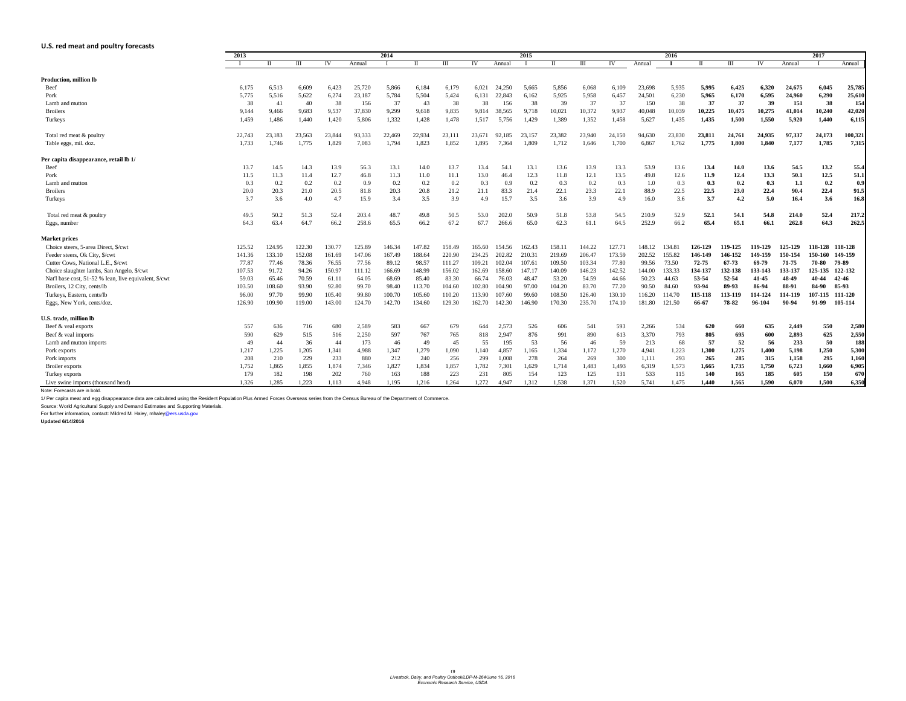### <span id="page-18-0"></span>**U.S. red meat and poultry forecasts**

|                                                        | 2013   |        |        | 2014   |        |        |        | 2015                        |        |        |        |        | 2016   |        |        |        |            |             |         |         | 2017            |         |  |
|--------------------------------------------------------|--------|--------|--------|--------|--------|--------|--------|-----------------------------|--------|--------|--------|--------|--------|--------|--------|--------|------------|-------------|---------|---------|-----------------|---------|--|
|                                                        |        |        | Ш      | IV     | Annual |        |        | $\mathop{\rm III}\nolimits$ | IV     | Annual |        | П      | Ш      | IV     | Annual |        |            | Ш           | IV      | Annual  |                 | Annual  |  |
| <b>Production, million lb</b>                          |        |        |        |        |        |        |        |                             |        |        |        |        |        |        |        |        |            |             |         |         |                 |         |  |
| Beef                                                   | 6,175  | 6,513  | 6,609  | 6,423  | 25,720 | 5,866  | 6,184  | 6,179                       | 6,021  | 24,250 | 5,665  | 5,856  | 6,068  | 6,109  | 23,698 | 5,935  | 5,995      | 6,425       | 6,320   | 24,675  | 6,045           | 25,785  |  |
| Pork                                                   | 5,775  | 5,516  | 5,622  | 6,274  | 23,187 | 5,784  | 5,504  | 5,424                       | 6,131  | 22,843 | 6,162  | 5,925  | 5,958  | 6,457  | 24,501 | 6,230  | 5,965      | 6,170       | 6,595   | 24,960  | 6,290           | 25,610  |  |
| Lamb and mutton                                        | 38     | 41     | -40    | 38     | 156    | 37     | 43     | 38                          | 38     | 156    | 38     | 39     | 37     | 37     | 150    | 38     | 37         | 37          | 39      | 151     | 38              | 154     |  |
| <b>Broilers</b>                                        | 9,144  | 9,466  | 9,683  | 9,537  | 37,830 | 9,299  | 9,618  | 9,835                       | 9,814  | 38,565 | 9,718  | 10,021 | 10,372 | 9,937  | 40,048 | 10,039 | 10,225     | 10,475      | 10,275  | 41,014  | 10,240          | 42,020  |  |
| Turkeys                                                | 1,459  | 1,486  | 1,440  | 1,420  | 5,806  | 1,332  | 1,428  | 1,478                       | 1,517  | 5,756  | 1,429  | 1,389  | 1,352  | 1,458  | 5,627  | 1,435  | 1,435      | 1,500       | 1,550   | 5,920   | 1,440           | 6,115   |  |
| Total red meat & poultry                               | 22,743 | 23,183 | 23,563 | 23,844 | 93,333 | 22,469 | 22,934 | 23,111                      | 23,671 | 92,185 | 23,157 | 23,382 | 23,940 | 24,150 | 94,630 | 23,830 | 23,811     | 24,761      | 24,935  | 97,337  | 24,173          | 100,321 |  |
| Table eggs, mil. doz.                                  | 1,733  | 1,746  | 1,775  | 1,829  | 7,083  | 1,794  | 1,823  | 1,852                       | 1,895  | 7,364  | 1,809  | 1,712  | 1,646  | 1,700  | 6,867  | 1,762  | 1,775      | 1,800       | 1,840   | 7,177   | 1,785           | 7,315   |  |
| Per capita disappearance, retail lb 1/                 |        |        |        |        |        |        |        |                             |        |        |        |        |        |        |        |        |            |             |         |         |                 |         |  |
| Beef                                                   | 13.7   | 14.5   | 14.3   | 13.9   | 56.3   | 13.1   | 14.0   | 13.7                        | 13.4   | 54.1   | 13.1   | 13.6   | 13.9   | 13.3   | 53.9   | 13.6   | 13.4       | <b>14.0</b> | 13.6    | 54.5    | 13.2            | 55.4    |  |
| Pork                                                   | 11.5   | 11.3   | 11.4   | 12.7   | 46.8   | 11.3   | 11.0   | 11.1                        | 13.0   | 46.4   | 12.3   | 11.8   | 12.1   | 13.5   | 49.8   | 12.6   | 11.9       | 12.4        | 13.3    | 50.1    | 12.5            | 51.1    |  |
| Lamb and mutton                                        | 0.3    | 0.2    | 0.2    | 0.2    | 0.9    | 0.2    | 0.2    | 0.2                         | 0.3    | 0.9    | 0.2    | 0.3    | 0.2    | 0.3    | 1.0    | 0.3    | 0.3        | 0.2         | 0.3     | 1.1     | 0.2             | 0.9     |  |
| <b>Broilers</b>                                        | 20.0   | 20.3   | 21.0   | 20.5   | 81.8   | 20.3   | 20.8   | 21.2                        | 21.1   | 83.3   | 21.4   | 22.1   | 23.3   | 22.1   | 88.9   | 22.5   | 22.5       | 23.0        | 22.4    | 90.4    | 22.4            | 91.5    |  |
| Turkeys                                                | 3.7    | 3.6    | 4.0    | 4.7    | 15.9   | 3.4    | 3.5    | 3.9                         | 4.9    | 15.7   | 3.5    | 3.6    | 3.9    | 4.9    | 16.0   | 3.6    | 3.7        | 4.2         | 5.0     | 16.4    | 3.6             | 16.8    |  |
| Total red meat & poultry                               | 49.5   | 50.2   | 51.3   | 52.4   | 203.4  | 48.7   | 49.8   | 50.5                        | 53.0   | 202.0  | 50.9   | 51.8   | 53.8   | 54.5   | 210.9  | 52.9   | 52.1       | 54.1        | 54.8    | 214.0   | 52.4            | 217.2   |  |
| Eggs, number                                           | 64.3   | 63.4   | 64.7   | 66.2   | 258.6  | 65.5   | 66.2   | 67.2                        | 67.7   | 266.6  | 65.0   | 62.3   | 61.1   | 64.5   | 252.9  | 66.2   | 65.4       | 65.1        | 66.1    | 262.8   | 64.3            | 262.5   |  |
| <b>Market prices</b>                                   |        |        |        |        |        |        |        |                             |        |        |        |        |        |        |        |        |            |             |         |         |                 |         |  |
| Choice steers, 5-area Direct, \$/cwt                   | 125.52 | 124.95 | 122.30 | 130.77 | 125.89 | 146.34 | 147.82 | 158.49                      | 165.60 | 154.56 | 162.43 | 158.1  | 144.22 | 127.71 | 148.12 | 134.81 | 126-129    | 119-125     | 119-129 | 125-129 | 118-128 118-128 |         |  |
| Feeder steers, Ok City, \$/cwt                         | 141.36 | 133.10 | 152.08 | 161.69 | 147.06 | 167.49 | 188.64 | 220.90                      | 234.25 | 202.82 | 210.31 | 219.69 | 206.47 | 173.59 | 202.52 | 155.82 | 146-149    | 146-152     | 149-159 | 150-154 | 150-160         | 149-159 |  |
| Cutter Cows, National L.E., \$/cwt                     | 77.87  | 77.46  | 78.36  | 76.55  | 77.56  | 89.12  | 98.57  | 111.27                      | 109.21 | 102.04 | 107.6  | 109.50 | 103.34 | 77.80  | 99.56  | 73.50  | 72-75      | 67-73       | 69-79   | 71-75   | 70-80           | 79-89   |  |
| Choice slaughter lambs, San Angelo, \$/cwt             | 107.53 | 91.72  | 94.26  | 150.97 | 111.12 | 166.69 | 148.99 | 156.02                      | 162.69 | 158.60 | 147.17 | 140.09 | 146.23 | 142.52 | 144.00 | 133.33 | 134-137    | 132-138     | 133-143 | 133-137 | 125-135         | 122-132 |  |
| Nat'l base cost, 51-52 % lean, live equivalent, \$/cwt | 59.03  | 65.46  | 70.59  | 61.11  | 64.05  | 68.69  | 85.40  | 83.30                       | 66.74  | 76.03  | 48.47  | 53.20  | 54.59  | 44.66  | 50.23  | 44.63  | 53-54      | 52-54       | 41-45   | 48-49   | 40-44           | 42-46   |  |
| Broilers, 12 City, cents/lb                            | 103.50 | 108.60 | 93.90  | 92.80  | 99.70  | 98.40  | 113.70 | 104.60                      | 102.80 | 104.90 | 97.00  | 104.20 | 83.70  | 77.20  | 90.50  | 84.60  | 93-94      | 89-93       | 86-94   | 88-91   | 84-90           | 85-93   |  |
| Turkeys, Eastern, cents/lb                             | 96.00  | 97.70  | 99.90  | 105.40 | 99.80  | 100.70 | 105.60 | 110.20                      | 113.90 | 107.60 | 99.60  | 108.50 | 126.40 | 130.10 | 116.20 | 114.70 | 115-118    | 113-119     | 114-124 | 114-119 | 107-115         | 111-120 |  |
| Eggs, New York, cents/doz.                             | 126.90 | 109.90 | 119.00 | 143.00 | 124.70 | 142.70 | 134.60 | 129.30                      | 162.70 | 142.30 | 146.90 | 170.30 | 235.70 | 174.10 | 181.80 |        | -66-67     | 78-82       | 96-104  | 90-94   | 91-99           | 105-114 |  |
| U.S. trade, million lb                                 |        |        |        |        |        |        |        |                             |        |        |        |        |        |        |        |        |            |             |         |         |                 |         |  |
| Beef & veal exports                                    | 557    | 636    | 716    | 680    | 2,589  | 583    | 667    | 679                         | 644    | 2,573  | 526    | 606    | 541    | 593    | 2,266  | 534    | 620        | 660         | 635     | 2,449   | 550             | 2,580   |  |
| Beef & veal imports                                    | 590    | 629    | 515    | 516    | 2,250  | 597    | 767    | 765                         | 818    | 2,947  | 876    | 991    | 890    | 613    | 3,370  | 793    | 805        | 695         | 600     | 2,893   | 625             | 2,550   |  |
| Lamb and mutton imports                                | 49     | 44     | 36     | 44     | 173    | 46     | 49     | 45                          | 55     | 195    | 53     | 56     | 46     | 59     | 213    | 68     | 57         | 52          | 56      | 233     | 50              | 188     |  |
| Pork exports                                           | 1,217  | 1,225  | 1,205  | 1,341  | 4,988  | 1,347  | 1,279  | 1,090                       | 1,140  | 4,857  | 1,165  | 1,334  | 1,172  | 1,270  | 4,941  | 1,223  | 1,300      | 1,275       | 1,400   | 5,198   | 1,250           | 5,300   |  |
| Pork imports                                           | 208    | 210    | 229    | 233    | 880    | 212    | 240    | 256                         | 299    | 1,008  | 278    | 264    | 269    | 300    | 1,111  | 293    | 265        | 285         | 315     | 1,158   | 295             | 1,160   |  |
| <b>Broiler</b> exports                                 | 1,752  | 1,865  | 1,855  | 1,874  | 7,346  | 1,827  | 1,834  | 1,857                       | 1,782  | 7,301  | 1,629  | 1,714  | 1,483  | 1,493  | 6,319  | 1,573  | 1,665      | 1,735       | 1,750   | 6,723   | 1,660           | 6,905   |  |
| Turkey exports                                         | 179    | 182    | 198    | 202    | 760    | 163    | 188    | 223                         | 231    | 805    | 154    | 123    | 125    | 131    | 533    | 115    | <b>140</b> | 165         | 185     | 605     | 150             | 670     |  |
| Live swine imports (thousand head)                     | 1,326  | 1,285  | 1,223  | 1,113  | 4,948  | 1,195  | 1,216  | 1,264                       | 1,272  | 4,947  | 1,312  | 1,538  | 1,371  | 1,520  | 5,741  | 1,475  | 1,440      | 1,565       | 1,590   | 6,070   | 1,500           | 6,350   |  |

Note: Forecasts are in bold.

1/ Per capita meat and egg disappearance data are calculated using the Resident Population Plus Armed Forces Overseas series from the Census Bureau of the Department of Commerce.

Source: World Agricultural Supply and Demand Estimates and Supporting Materials. For further information, contact: Mildred M. Haley, mhaley@ers.usda.gov

**Updated 6/14/2016**